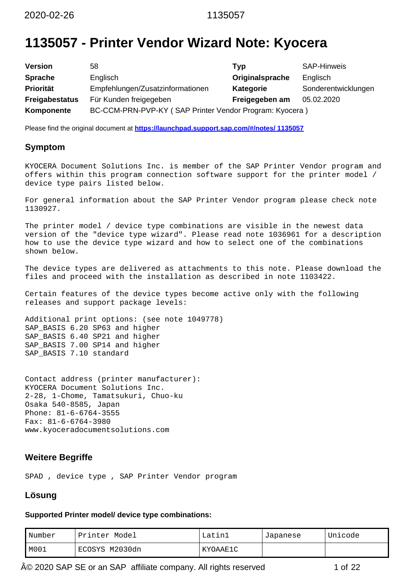# **1135057 - Printer Vendor Wizard Note: Kyocera**

| <b>Version</b>        | 58                                                      | Typ             | <b>SAP-Hinweis</b>  |
|-----------------------|---------------------------------------------------------|-----------------|---------------------|
| <b>Sprache</b>        | Englisch                                                | Originalsprache | Englisch            |
| <b>Priorität</b>      | Empfehlungen/Zusatzinformationen                        | Kategorie       | Sonderentwicklungen |
| <b>Freigabestatus</b> | Für Kunden freigegeben                                  | Freigegeben am  | 05.02.2020          |
| Komponente            | BC-CCM-PRN-PVP-KY (SAP Printer Vendor Program: Kyocera) |                 |                     |

Please find the original document at **[https://launchpad.support.sap.com/#/notes/ 1135057](https://launchpad.support.sap.com/#/notes/%0d%0a%0d%0a%0d%0a%0d%0a%0d%0a%0d%0a%20%20%20%20%20%20%20%20%20%20%20%20%20%20%20%201135057)**

# **Symptom**

KYOCERA Document Solutions Inc. is member of the SAP Printer Vendor program and offers within this program connection software support for the printer model / device type pairs listed below.

For general information about the SAP Printer Vendor program please check note 1130927.

The printer model / device type combinations are visible in the newest data version of the "device type wizard". Please read note 1036961 for a description how to use the device type wizard and how to select one of the combinations shown below.

The device types are delivered as attachments to this note. Please download the files and proceed with the installation as described in note 1103422.

Certain features of the device types become active only with the following releases and support package levels:

Additional print options: (see note 1049778) SAP\_BASIS 6.20 SP63 and higher SAP\_BASIS 6.40 SP21 and higher SAP\_BASIS 7.00 SP14 and higher SAP\_BASIS 7.10 standard

Contact address (printer manufacturer): KYOCERA Document Solutions Inc. 2-28, 1-Chome, Tamatsukuri, Chuo-ku Osaka 540-8585, Japan Phone: 81-6-6764-3555 Fax: 81-6-6764-3980 www.kyoceradocumentsolutions.com

# **Weitere Begriffe**

SPAD , device type , SAP Printer Vendor program

# **Lösung**

### **Supported Printer model/ device type combinations:**

| Number | Printer Model  | Latini   | Japanese | Unicode |
|--------|----------------|----------|----------|---------|
| MOO1   | ECOSYS M2030dn | KYOAAE1C |          |         |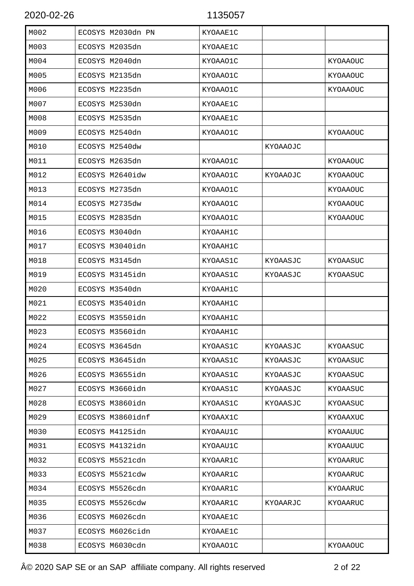| M002 | ECOSYS M2030dn PN | KYOAAE1C |          |          |
|------|-------------------|----------|----------|----------|
| M003 | ECOSYS M2035dn    | KYOAAE1C |          |          |
| M004 | ECOSYS M2040dn    | KYOAA01C |          | KYOAAOUC |
| M005 | ECOSYS M2135dn    | KYOAA01C |          | KYOAAOUC |
| M006 | ECOSYS M2235dn    | KYOAA01C |          | KYOAAOUC |
| M007 | ECOSYS M2530dn    | KYOAAE1C |          |          |
| M008 | ECOSYS M2535dn    | KYOAAE1C |          |          |
| M009 | ECOSYS M2540dn    | KYOAA01C |          | KYOAAOUC |
| M010 | ECOSYS M2540dw    |          | KYOAAOJC |          |
| M011 | ECOSYS M2635dn    | KYOAA01C |          | KYOAAOUC |
| M012 | ECOSYS M2640idw   | KYOAA01C | KYOAAOJC | KYOAAOUC |
| M013 | ECOSYS M2735dn    | KYOAA01C |          | KYOAAOUC |
| M014 | ECOSYS M2735dw    | KYOAA01C |          | KYOAAOUC |
| M015 | ECOSYS M2835dn    | KYOAA01C |          | KYOAAOUC |
| M016 | ECOSYS M3040dn    | KYOAAH1C |          |          |
| M017 | ECOSYS M3040idn   | KYOAAH1C |          |          |
| M018 | ECOSYS M3145dn    | KYOAAS1C | KYOAASJC | KYOAASUC |
| M019 | ECOSYS M3145idn   | KYOAAS1C | KYOAASJC | KYOAASUC |
| M020 | ECOSYS M3540dn    | KYOAAH1C |          |          |
| M021 | ECOSYS M3540idn   | KYOAAH1C |          |          |
| M022 | ECOSYS M3550idn   | KYOAAH1C |          |          |
| M023 | ECOSYS M3560idn   | KYOAAH1C |          |          |
| M024 | ECOSYS M3645dn    | KYOAAS1C | KYOAASJC | KYOAASUC |
| M025 | ECOSYS M3645idn   | KYOAAS1C | KYOAASJC | KYOAASUC |
| M026 | ECOSYS M3655idn   | KYOAAS1C | KYOAASJC | KYOAASUC |
| M027 | ECOSYS M3660idn   | KYOAAS1C | KYOAASJC | KYOAASUC |
| M028 | ECOSYS M3860idn   | KYOAAS1C | KYOAASJC | KYOAASUC |
| M029 | ECOSYS M3860idnf  | KYOAAX1C |          | KYOAAXUC |
| M030 | ECOSYS M4125idn   | KYOAAU1C |          | KYOAAUUC |
| M031 | ECOSYS M4132idn   | KYOAAU1C |          | KYOAAUUC |
| M032 | ECOSYS M5521cdn   | KYOAAR1C |          | KYOAARUC |
| M033 | ECOSYS M5521cdw   | KYOAAR1C |          | KYOAARUC |
| M034 | ECOSYS M5526cdn   | KYOAAR1C |          | KYOAARUC |
| M035 | ECOSYS M5526cdw   | KYOAAR1C | KYOAARJC | KYOAARUC |
| M036 | ECOSYS M6026cdn   | KYOAAE1C |          |          |
| M037 | ECOSYS M6026cidn  | KYOAAE1C |          |          |
| M038 | ECOSYS M6030cdn   | KYOAAO1C |          | KYOAAOUC |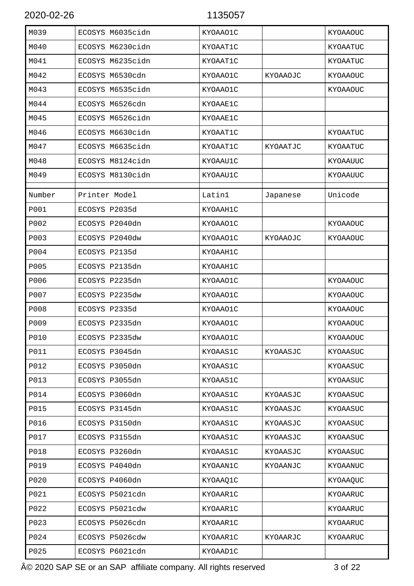| M039        | ECOSYS M6035cidn | KYOAAO1C |          | KYOAAOUC        |
|-------------|------------------|----------|----------|-----------------|
| M040        | ECOSYS M6230cidn | KYOAAT1C |          | KYOAATUC        |
| M041        | ECOSYS M6235cidn | KYOAAT1C |          | KYOAATUC        |
| M042        | ECOSYS M6530cdn  | KYOAAO1C | KYOAAOJC | KYOAAOUC        |
| M043        | ECOSYS M6535cidn | KYOAA01C |          | KYOAAOUC        |
| M044        | ECOSYS M6526cdn  | KYOAAE1C |          |                 |
| M045        | ECOSYS M6526cidn | KYOAAE1C |          |                 |
| M046        | ECOSYS M6630cidn | KYOAAT1C |          | KYOAATUC        |
| M047        | ECOSYS M6635cidn | KYOAAT1C | KYOAATJC | KYOAATUC        |
| M048        | ECOSYS M8124cidn | KYOAAU1C |          | KYOAAUUC        |
| M049        | ECOSYS M8130cidn | KYOAAU1C |          | KYOAAUUC        |
| Number      | Printer Model    | Latin1   | Japanese | Unicode         |
| <b>P001</b> | ECOSYS P2035d    | KYOAAH1C |          |                 |
| P002        | ECOSYS P2040dn   | KYOAAO1C |          | KYOAAOUC        |
| P003        | ECOSYS P2040dw   | KYOAA01C | KYOAAOJC | KYOAAOUC        |
| P004        | ECOSYS P2135d    | KYOAAH1C |          |                 |
| P005        | ECOSYS P2135dn   | KYOAAH1C |          |                 |
| P006        | ECOSYS P2235dn   | KYOAAO1C |          | KYOAAOUC        |
| P007        | ECOSYS P2235dw   | KYOAAO1C |          | <b>KYOAAOUC</b> |
| P008        | ECOSYS P2335d    | KYOAAO1C |          | KYOAAOUC        |
| P009        | ECOSYS P2335dn   | KYOAAO1C |          | KYOAAOUC        |
| <b>P010</b> | ECOSYS P2335dw   | KYOAAO1C |          | KYOAAOUC        |
| <b>P011</b> | ECOSYS P3045dn   | KYOAAS1C | KYOAASJC | KYOAASUC        |
| P012        | ECOSYS P3050dn   | KYOAAS1C |          | KYOAASUC        |
| P013        | ECOSYS P3055dn   | KYOAAS1C |          | KYOAASUC        |
| P014        | ECOSYS P3060dn   | KYOAAS1C | KYOAASJC | KYOAASUC        |
| P015        | ECOSYS P3145dn   | KYOAAS1C | KYOAASJC | KYOAASUC        |
| P016        | ECOSYS P3150dn   | KYOAAS1C | KYOAASJC | KYOAASUC        |
| P017        | ECOSYS P3155dn   | KYOAAS1C | KYOAASJC | KYOAASUC        |
| P018        | ECOSYS P3260dn   | KYOAAS1C | KYOAASJC | KYOAASUC        |
| P019        | ECOSYS P4040dn   | KYOAAN1C | KYOAANJC | KYOAANUC        |
| P020        | ECOSYS P4060dn   | KYOAAQ1C |          | KYOAAQUC        |
| P021        | ECOSYS P5021cdn  | KYOAAR1C |          | KYOAARUC        |
| P022        | ECOSYS P5021cdw  | KYOAAR1C |          | KYOAARUC        |
| P023        | ECOSYS P5026cdn  | KYOAAR1C |          | KYOAARUC        |
| P024        | ECOSYS P5026cdw  | KYOAAR1C | KYOAARJC | KYOAARUC        |
| P025        | ECOSYS P6021cdn  | KYOAAD1C |          |                 |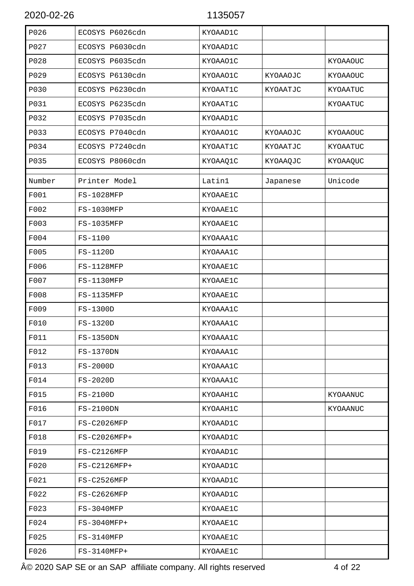| P026   | ECOSYS P6026cdn | KYOAAD1C |          |          |
|--------|-----------------|----------|----------|----------|
| P027   | ECOSYS P6030cdn | KYOAAD1C |          |          |
| P028   | ECOSYS P6035cdn | KYOAAO1C |          | KYOAAOUC |
| P029   | ECOSYS P6130cdn | KYOAAO1C | KYOAAOJC | KYOAAOUC |
| P030   | ECOSYS P6230cdn | KYOAAT1C | KYOAATJC | KYOAATUC |
| P031   | ECOSYS P6235cdn | KYOAAT1C |          | KYOAATUC |
| P032   | ECOSYS P7035cdn | KYOAAD1C |          |          |
| P033   | ECOSYS P7040cdn | KYOAAO1C | KYOAAOJC | KYOAAOUC |
| P034   | ECOSYS P7240cdn | KYOAAT1C | KYOAATJC | KYOAATUC |
| P035   | ECOSYS P8060cdn | KYOAAQ1C | KYOAAQJC | KYOAAQUC |
| Number | Printer Model   | Latinl   | Japanese | Unicode  |
| F001   | FS-1028MFP      | KYOAAE1C |          |          |
| F002   | FS-1030MFP      | KYOAAE1C |          |          |
| F003   | FS-1035MFP      | KYOAAE1C |          |          |
| F004   | FS-1100         | KYOAAA1C |          |          |
| F005   | FS-1120D        | KYOAAA1C |          |          |
| F006   | FS-1128MFP      | KYOAAE1C |          |          |
| F007   | FS-1130MFP      | KYOAAE1C |          |          |
| F008   | FS-1135MFP      | KYOAAE1C |          |          |
| F009   | FS-1300D        | KYOAAA1C |          |          |
| F010   | FS-1320D        | KYOAAA1C |          |          |
| F011   | FS-1350DN       | KYOAAA1C |          |          |
| F012   | FS-1370DN       | KYOAAA1C |          |          |
| F013   | FS-2000D        | KYOAAA1C |          |          |
| F014   | FS-2020D        | KYOAAA1C |          |          |
| F015   | $FS-2100D$      | KYOAAH1C |          | KYOAANUC |
| F016   | $FS-2100DN$     | KYOAAH1C |          | KYOAANUC |
| F017   | FS-C2026MFP     | KYOAAD1C |          |          |
| F018   | $FS-C2026MFP+$  | KYOAAD1C |          |          |
| F019   | FS-C2126MFP     | KYOAAD1C |          |          |
| F020   | FS-C2126MFP+    | KYOAAD1C |          |          |
| F021   | FS-C2526MFP     | KYOAAD1C |          |          |
| F022   | FS-C2626MFP     | KYOAAD1C |          |          |
| F023   | FS-3040MFP      | KYOAAE1C |          |          |
| F024   | FS-3040MFP+     | KYOAAE1C |          |          |
| F025   | FS-3140MFP      | KYOAAE1C |          |          |
| F026   | FS-3140MFP+     | KYOAAE1C |          |          |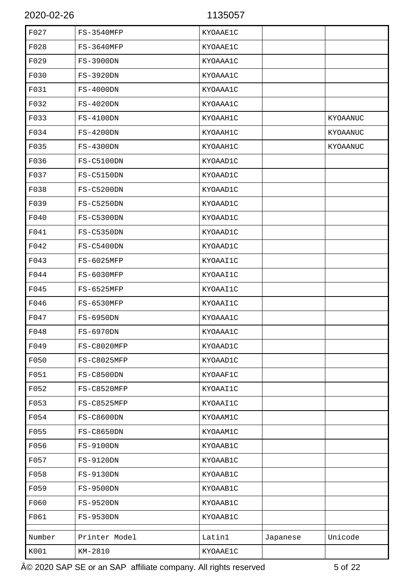| F027   | FS-3540MFP        | KYOAAE1C |          |          |
|--------|-------------------|----------|----------|----------|
| F028   | FS-3640MFP        | KYOAAE1C |          |          |
| F029   | FS-3900DN         | KYOAAA1C |          |          |
| F030   | FS-3920DN         | KYOAAA1C |          |          |
| F031   | $FS-4000DN$       | KYOAAA1C |          |          |
| F032   | FS-4020DN         | KYOAAA1C |          |          |
| F033   | FS-4100DN         | KYOAAH1C |          | KYOAANUC |
| F034   | $FS-4200DN$       | KYOAAH1C |          | KYOAANUC |
| F035   | FS-4300DN         | KYOAAH1C |          | KYOAANUC |
| F036   | FS-C5100DN        | KYOAAD1C |          |          |
| F037   | <b>FS-C5150DN</b> | KYOAAD1C |          |          |
| F038   | <b>FS-C5200DN</b> | KYOAAD1C |          |          |
| F039   | FS-C5250DN        | KYOAAD1C |          |          |
| F040   | FS-C5300DN        | KYOAAD1C |          |          |
| F041   | <b>FS-C5350DN</b> | KYOAAD1C |          |          |
| F042   | FS-C5400DN        | KYOAAD1C |          |          |
| F043   | FS-6025MFP        | KYOAAI1C |          |          |
| F044   | FS-6030MFP        | KYOAAI1C |          |          |
| F045   | FS-6525MFP        | KYOAAI1C |          |          |
| F046   | FS-6530MFP        | KYOAAI1C |          |          |
| F047   | FS-6950DN         | KYOAAA1C |          |          |
| F048   | <b>FS-6970DN</b>  | KYOAAA1C |          |          |
| F049   | FS-C8020MFP       | KYOAAD1C |          |          |
| F050   | FS-C8025MFP       | KYOAAD1C |          |          |
| F051   | FS-C8500DN        | KYOAAF1C |          |          |
| F052   | FS-C8520MFP       | KYOAAI1C |          |          |
| F053   | FS-C8525MFP       | KYOAAI1C |          |          |
| F054   | FS-C8600DN        | KYOAAM1C |          |          |
| F055   | FS-C8650DN        | KYOAAM1C |          |          |
| F056   | FS-9100DN         | KYOAAB1C |          |          |
| F057   | FS-9120DN         | KYOAAB1C |          |          |
| F058   | FS-9130DN         | KYOAAB1C |          |          |
| F059   | FS-9500DN         | KYOAAB1C |          |          |
| F060   | FS-9520DN         | KYOAAB1C |          |          |
| F061   | FS-9530DN         | KYOAAB1C |          |          |
| Number | Printer Model     | Latin1   | Japanese | Unicode  |
| K001   | KM-2810           | KYOAAE1C |          |          |
|        |                   |          |          |          |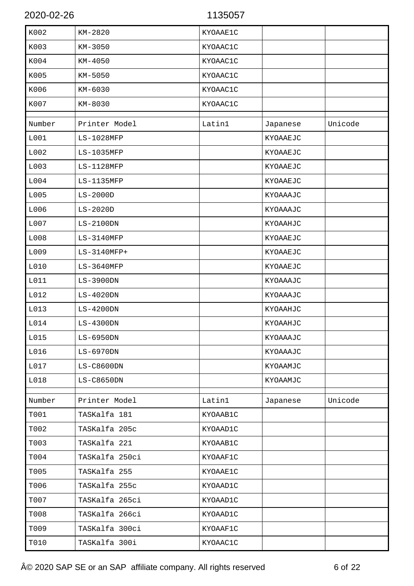| K002   | KM-2820        | KYOAAE1C |          |         |
|--------|----------------|----------|----------|---------|
| K003   | KM-3050        | KYOAAC1C |          |         |
| K004   | KM-4050        | KYOAAC1C |          |         |
| K005   | KM-5050        | KYOAAC1C |          |         |
| K006   | KM-6030        | KYOAAC1C |          |         |
| K007   | KM-8030        | KYOAAC1C |          |         |
| Number | Printer Model  | Latin1   | Japanese | Unicode |
| L001   | LS-1028MFP     |          | KYOAAEJC |         |
| L002   | LS-1035MFP     |          | KYOAAEJC |         |
| L003   | LS-1128MFP     |          | KYOAAEJC |         |
| L004   | LS-1135MFP     |          | KYOAAEJC |         |
| L005   | $LS-2000D$     |          | KYOAAAJC |         |
| L006   | $LS-2020D$     |          | KYOAAAJC |         |
| L007   | $LS-2100DN$    |          | KYOAAHJC |         |
| L008   | $LS-3140MFP$   |          | KYOAAEJC |         |
| L009   | LS-3140MFP+    |          | KYOAAEJC |         |
| L010   | $LS-3640MFP$   |          | KYOAAEJC |         |
| L011   | $LS-3900DN$    |          | KYOAAAJC |         |
| L012   | $LS-4020DN$    |          | KYOAAAJC |         |
| L013   | $LS-4200DN$    |          | KYOAAHJC |         |
| L014   | $LS-4300DN$    |          | KYOAAHJC |         |
| L015   | $LS-6950DN$    |          | KYOAAAJC |         |
| L016   | LS-6970DN      |          | KYOAAAJC |         |
| L017   | LS-C8600DN     |          | KYOAAMJC |         |
| L018   | LS-C8650DN     |          | KYOAAMJC |         |
| Number | Printer Model  | Latin1   | Japanese | Unicode |
| T001   | TASKalfa 181   | KYOAAB1C |          |         |
| T002   | TASKalfa 205c  | KYOAAD1C |          |         |
| T003   | TASKalfa 221   | KYOAAB1C |          |         |
| T004   | TASKalfa 250ci | KYOAAF1C |          |         |
| T005   | TASKalfa 255   | KYOAAE1C |          |         |
| T006   | TASKalfa 255c  | KYOAAD1C |          |         |
| T007   | TASKalfa 265ci | KYOAAD1C |          |         |
| T008   | TASKalfa 266ci | KYOAAD1C |          |         |
| T009   | TASKalfa 300ci | KYOAAF1C |          |         |
| T010   | TASKalfa 300i  | KYOAAC1C |          |         |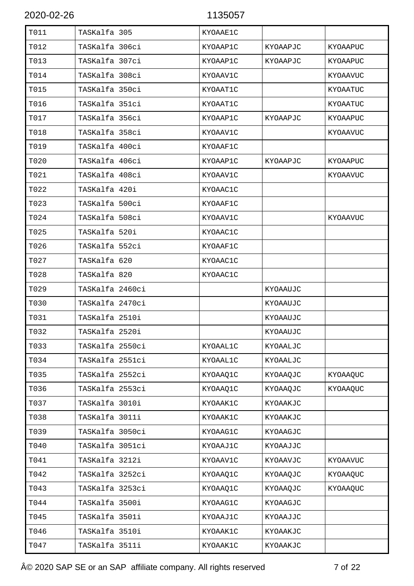| T011 | TASKalfa 305    | KYOAAE1C |          |          |
|------|-----------------|----------|----------|----------|
| T012 | TASKalfa 306ci  | KYOAAP1C | KYOAAPJC | KYOAAPUC |
| T013 | TASKalfa 307ci  | KYOAAP1C | KYOAAPJC | KYOAAPUC |
| T014 | TASKalfa 308ci  | KYOAAV1C |          | KYOAAVUC |
| T015 | TASKalfa 350ci  | KYOAAT1C |          | KYOAATUC |
| T016 | TASKalfa 351ci  | KYOAAT1C |          | KYOAATUC |
| T017 | TASKalfa 356ci  | KYOAAP1C | KYOAAPJC | KYOAAPUC |
| T018 | TASKalfa 358ci  | KYOAAV1C |          | KYOAAVUC |
| T019 | TASKalfa 400ci  | KYOAAF1C |          |          |
| T020 | TASKalfa 406ci  | KYOAAP1C | KYOAAPJC | KYOAAPUC |
| T021 | TASKalfa 408ci  | KYOAAV1C |          | KYOAAVUC |
| T022 | TASKalfa 420i   | KYOAAC1C |          |          |
| T023 | TASKalfa 500ci  | KYOAAF1C |          |          |
| T024 | TASKalfa 508ci  | KYOAAV1C |          | KYOAAVUC |
| T025 | TASKalfa 520i   | KYOAAC1C |          |          |
| T026 | TASKalfa 552ci  | KYOAAF1C |          |          |
| T027 | TASKalfa 620    | KYOAAC1C |          |          |
| T028 | TASKalfa 820    | KYOAAC1C |          |          |
| T029 | TASKalfa 2460ci |          | KYOAAUJC |          |
| T030 | TASKalfa 2470ci |          | KYOAAUJC |          |
| T031 | TASKalfa 2510i  |          | KYOAAUJC |          |
| T032 | TASKalfa 2520i  |          | KYOAAUJC |          |
| T033 | TASKalfa 2550ci | KYOAAL1C | KYOAALJC |          |
| T034 | TASKalfa 2551ci | KYOAAL1C | KYOAALJC |          |
| T035 | TASKalfa 2552ci | KYOAAQ1C | KYOAAQJC | KYOAAQUC |
| T036 | TASKalfa 2553ci | KYOAAQ1C | KYOAAQJC | KYOAAQUC |
| T037 | TASKalfa 3010i  | KYOAAK1C | KYOAAKJC |          |
| T038 | TASKalfa 3011i  | KYOAAK1C | KYOAAKJC |          |
| T039 | TASKalfa 3050ci | KYOAAG1C | KYOAAGJC |          |
| T040 | TASKalfa 3051ci | KYOAAJ1C | KYOAAJJC |          |
| T041 | TASKalfa 3212i  | KYOAAV1C | KYOAAVJC | KYOAAVUC |
| T042 | TASKalfa 3252ci | KYOAAQ1C | KYOAAQJC | KYOAAQUC |
| T043 | TASKalfa 3253ci | KYOAAQ1C | KYOAAQJC | KYOAAQUC |
| T044 | TASKalfa 3500i  | KYOAAG1C | KYOAAGJC |          |
| T045 | TASKalfa 3501i  | KYOAAJ1C | KYOAAJJC |          |
| T046 | TASKalfa 3510i  | KYOAAK1C | KYOAAKJC |          |
| T047 | TASKalfa 3511i  | KYOAAK1C | KYOAAKJC |          |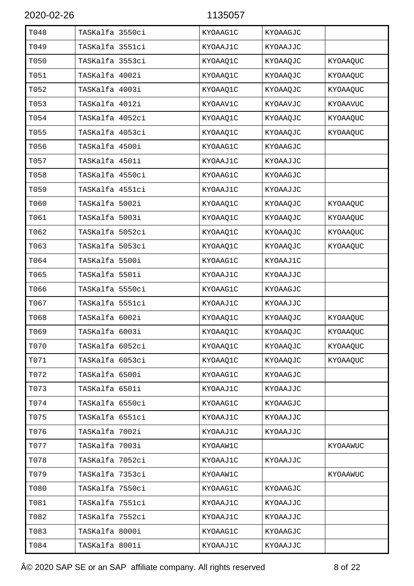| T048 | TASKalfa 3550ci | KYOAAG1C | KYOAAGJC |                 |
|------|-----------------|----------|----------|-----------------|
| T049 | TASKalfa 3551ci | KYOAAJ1C | KYOAAJJC |                 |
| T050 | TASKalfa 3553ci | KYOAAQ1C | KYOAAQJC | KYOAAQUC        |
| T051 | TASKalfa 4002i  | KYOAAQ1C | KYOAAQJC | KYOAAQUC        |
| T052 | TASKalfa 4003i  | KYOAAQ1C | KYOAAQJC | KYOAAQUC        |
| T053 | TASKalfa 4012i  | KYOAAV1C | KYOAAVJC | <b>KYOAAVUC</b> |
| T054 | TASKalfa 4052ci | KYOAAQ1C | KYOAAQJC | KYOAAQUC        |
| T055 | TASKalfa 4053ci | KYOAAQ1C | KYOAAQJC | KYOAAQUC        |
| T056 | TASKalfa 4500i  | KYOAAG1C | KYOAAGJC |                 |
| T057 | TASKalfa 4501i  | KYOAAJ1C | KYOAAJJC |                 |
| T058 | TASKalfa 4550ci | KYOAAG1C | KYOAAGJC |                 |
| T059 | TASKalfa 4551ci | KYOAAJ1C | KYOAAJJC |                 |
| T060 | TASKalfa 5002i  | KYOAAQ1C | KYOAAQJC | KYOAAQUC        |
| T061 | TASKalfa 5003i  | KYOAAQ1C | KYOAAQJC | KYOAAQUC        |
| T062 | TASKalfa 5052ci | KYOAAQ1C | KYOAAQJC | KYOAAQUC        |
| T063 | TASKalfa 5053ci | KYOAAQ1C | KYOAAQJC | KYOAAQUC        |
| T064 | TASKalfa 5500i  | KYOAAG1C | KYOAAJ1C |                 |
| T065 | TASKalfa 5501i  | KYOAAJ1C | KYOAAJJC |                 |
| T066 | TASKalfa 5550ci | KYOAAG1C | KYOAAGJC |                 |
| T067 | TASKalfa 5551ci | KYOAAJ1C | KYOAAJJC |                 |
| T068 | TASKalfa 6002i  | KYOAAQ1C | KYOAAQJC | KYOAAQUC        |
| T069 | TASKalfa 6003i  | KYOAAQ1C | KYOAAQJC | KYOAAQUC        |
| T070 | TASKalfa 6052ci | KYOAAQ1C | KYOAAQJC | KYOAAQUC        |
| T071 | TASKalfa 6053ci | KYOAAQ1C | KYOAAQJC | KYOAAQUC        |
| T072 | TASKalfa 6500i  | KYOAAG1C | KYOAAGJC |                 |
| T073 | TASKalfa 6501i  | KYOAAJ1C | KYOAAJJC |                 |
| T074 | TASKalfa 6550ci | KYOAAG1C | KYOAAGJC |                 |
| T075 | TASKalfa 6551ci | KYOAAJ1C | KYOAAJJC |                 |
| T076 | TASKalfa 7002i  | KYOAAJ1C | KYOAAJJC |                 |
| T077 | TASKalfa 7003i  | KYOAAW1C |          | KYOAAWUC        |
| T078 | TASKalfa 7052ci | KYOAAJ1C | KYOAAJJC |                 |
| T079 | TASKalfa 7353ci | KYOAAW1C |          | KYOAAWUC        |
| T080 | TASKalfa 7550ci | KYOAAG1C | KYOAAGJC |                 |
| T081 | TASKalfa 7551ci | KYOAAJ1C | KYOAAJJC |                 |
| T082 | TASKalfa 7552ci | KYOAAJ1C | KYOAAJJC |                 |
| T083 | TASKalfa 8000i  | KYOAAG1C | KYOAAGJC |                 |
| T084 | TASKalfa 8001i  | KYOAAJ1C | KYOAAJJC |                 |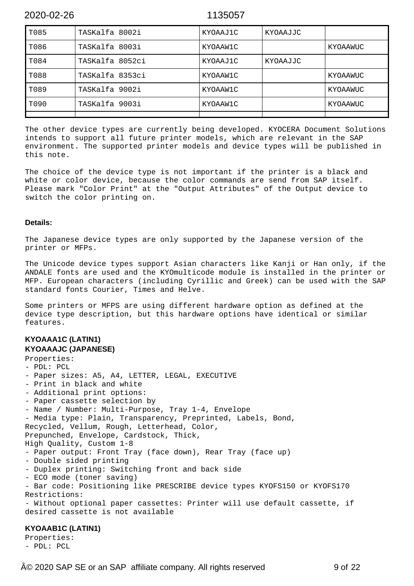| T085 | TASKalfa 8002i  | KYOAAJ1C | KYOAAJJC |          |
|------|-----------------|----------|----------|----------|
| T086 | TASKalfa 8003i  | KYOAAW1C |          | KYOAAWUC |
| T084 | TASKalfa 8052ci | KYOAAJ1C | KYOAAJJC |          |
| T088 | TASKalfa 8353ci | KYOAAW1C |          | KYOAAWUC |
| T089 | TASKalfa 9002i  | KYOAAW1C |          | KYOAAWUC |
| T090 | TASKalfa 9003i  | KYOAAW1C |          | KYOAAWUC |
|      |                 |          |          |          |

The other device types are currently being developed. KYOCERA Document Solutions intends to support all future printer models, which are relevant in the SAP environment. The supported printer models and device types will be published in this note.

The choice of the device type is not important if the printer is a black and white or color device, because the color commands are send from SAP itself. Please mark "Color Print" at the "Output Attributes" of the Output device to switch the color printing on.

### **Details:**

The Japanese device types are only supported by the Japanese version of the printer or MFPs.

The Unicode device types support Asian characters like Kanji or Han only, if the ANDALE fonts are used and the KYOmulticode module is installed in the printer or MFP. European characters (including Cyrillic and Greek) can be used with the SAP standard fonts Courier, Times and Helve.

Some printers or MFPS are using different hardware option as defined at the device type description, but this hardware options have identical or similar features.

### **KYOAAA1C (LATIN1) KYOAAAJC (JAPANESE)**

```
Properties:
- PDL: PCL
- Paper sizes: A5, A4, LETTER, LEGAL, EXECUTIVE
- Print in black and white
- Additional print options:
- Paper cassette selection by
- Name / Number: Multi-Purpose, Tray 1-4, Envelope
- Media type: Plain, Transparency, Preprinted, Labels, Bond,
Recycled, Vellum, Rough, Letterhead, Color,
Prepunched, Envelope, Cardstock, Thick,
High Quality, Custom 1-8
- Paper output: Front Tray (face down), Rear Tray (face up)
- Double sided printing
- Duplex printing: Switching front and back side
- ECO mode (toner saving)
- Bar code: Positioning like PRESCRIBE device types KYOFS150 or KYOFS170
Restrictions:
- Without optional paper cassettes: Printer will use default cassette, if
desired cassette is not available
```
### **KYOAAB1C (LATIN1)**

Properties: - PDL: PCL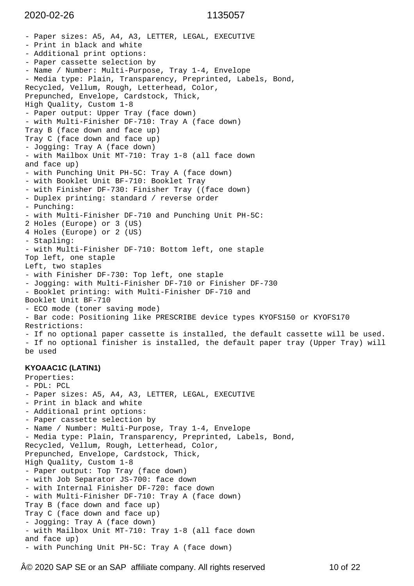```
- Paper sizes: A5, A4, A3, LETTER, LEGAL, EXECUTIVE
- Print in black and white
- Additional print options:
- Paper cassette selection by
- Name / Number: Multi-Purpose, Tray 1-4, Envelope
- Media type: Plain, Transparency, Preprinted, Labels, Bond,
Recycled, Vellum, Rough, Letterhead, Color,
Prepunched, Envelope, Cardstock, Thick,
High Quality, Custom 1-8
- Paper output: Upper Tray (face down)
- with Multi-Finisher DF-710: Tray A (face down)
Tray B (face down and face up)
Tray C (face down and face up)
- Jogging: Tray A (face down)
- with Mailbox Unit MT-710: Tray 1-8 (all face down
and face up)
- with Punching Unit PH-5C: Tray A (face down)
- with Booklet Unit BF-710: Booklet Tray
- with Finisher DF-730: Finisher Tray ((face down)
- Duplex printing: standard / reverse order
- Punching:
- with Multi-Finisher DF-710 and Punching Unit PH-5C:
2 Holes (Europe) or 3 (US)
4 Holes (Europe) or 2 (US)
- Stapling:
- with Multi-Finisher DF-710: Bottom left, one staple
Top left, one staple
Left, two staples
- with Finisher DF-730: Top left, one staple
- Jogging: with Multi-Finisher DF-710 or Finisher DF-730
- Booklet printing: with Multi-Finisher DF-710 and
Booklet Unit BF-710
- ECO mode (toner saving mode)
- Bar code: Positioning like PRESCRIBE device types KYOFS150 or KYOFS170
Restrictions:
- If no optional paper cassette is installed, the default cassette will be used.
- If no optional finisher is installed, the default paper tray (Upper Tray) will
be used
KYOAAC1C (LATIN1)
Properties:
- PDL: PCL
- Paper sizes: A5, A4, A3, LETTER, LEGAL, EXECUTIVE
- Print in black and white
- Additional print options:
- Paper cassette selection by
- Name / Number: Multi-Purpose, Tray 1-4, Envelope
- Media type: Plain, Transparency, Preprinted, Labels, Bond,
Recycled, Vellum, Rough, Letterhead, Color,
Prepunched, Envelope, Cardstock, Thick,
High Quality, Custom 1-8
- Paper output: Top Tray (face down)
- with Job Separator JS-700: face down
- with Internal Finisher DF-720: face down
- with Multi-Finisher DF-710: Tray A (face down)
Tray B (face down and face up)
Tray C (face down and face up)
- Jogging: Tray A (face down)
- with Mailbox Unit MT-710: Tray 1-8 (all face down
and face up)
- with Punching Unit PH-5C: Tray A (face down)
```
 $\widehat{A}\otimes$  2020 SAP SE or an SAP affiliate company. All rights reserved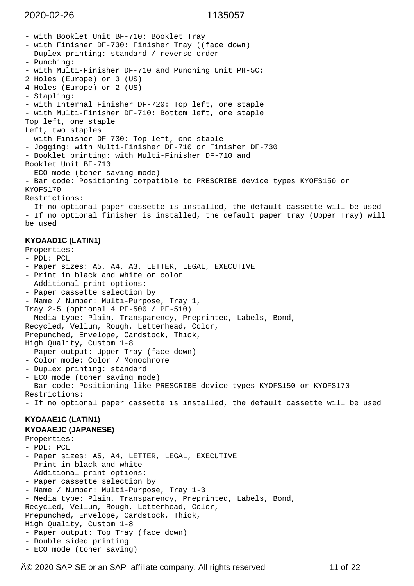- with Booklet Unit BF-710: Booklet Tray - with Finisher DF-730: Finisher Tray ((face down) - Duplex printing: standard / reverse order - Punching: - with Multi-Finisher DF-710 and Punching Unit PH-5C: 2 Holes (Europe) or 3 (US) 4 Holes (Europe) or 2 (US) - Stapling: - with Internal Finisher DF-720: Top left, one staple - with Multi-Finisher DF-710: Bottom left, one staple Top left, one staple Left, two staples - with Finisher DF-730: Top left, one staple - Jogging: with Multi-Finisher DF-710 or Finisher DF-730 - Booklet printing: with Multi-Finisher DF-710 and Booklet Unit BF-710 - ECO mode (toner saving mode) - Bar code: Positioning compatible to PRESCRIBE device types KYOFS150 or KYOFS170 Restrictions: - If no optional paper cassette is installed, the default cassette will be used - If no optional finisher is installed, the default paper tray (Upper Tray) will be used **KYOAAD1C (LATIN1)** Properties: - PDL: PCL - Paper sizes: A5, A4, A3, LETTER, LEGAL, EXECUTIVE - Print in black and white or color - Additional print options: - Paper cassette selection by - Name / Number: Multi-Purpose, Tray 1, Tray 2-5 (optional 4 PF-500 / PF-510) - Media type: Plain, Transparency, Preprinted, Labels, Bond, Recycled, Vellum, Rough, Letterhead, Color, Prepunched, Envelope, Cardstock, Thick, High Quality, Custom 1-8 - Paper output: Upper Tray (face down) - Color mode: Color / Monochrome - Duplex printing: standard - ECO mode (toner saving mode) - Bar code: Positioning like PRESCRIBE device types KYOFS150 or KYOFS170 Restrictions: - If no optional paper cassette is installed, the default cassette will be used **KYOAAE1C (LATIN1) KYOAAEJC (JAPANESE)** Properties: - PDL: PCL - Paper sizes: A5, A4, LETTER, LEGAL, EXECUTIVE - Print in black and white - Additional print options: - Paper cassette selection by - Name / Number: Multi-Purpose, Tray 1-3 - Media type: Plain, Transparency, Preprinted, Labels, Bond, Recycled, Vellum, Rough, Letterhead, Color, Prepunched, Envelope, Cardstock, Thick, High Quality, Custom 1-8 - Paper output: Top Tray (face down) - Double sided printing

- ECO mode (toner saving)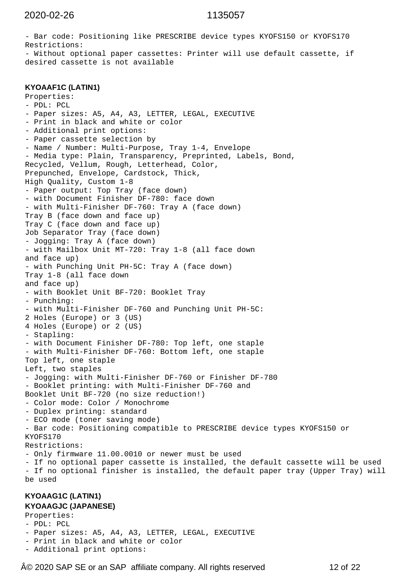- Bar code: Positioning like PRESCRIBE device types KYOFS150 or KYOFS170 Restrictions: - Without optional paper cassettes: Printer will use default cassette, if desired cassette is not available

### **KYOAAF1C (LATIN1)**

```
Properties:
- PDL: PCL
- Paper sizes: A5, A4, A3, LETTER, LEGAL, EXECUTIVE
- Print in black and white or color
- Additional print options:
- Paper cassette selection by
- Name / Number: Multi-Purpose, Tray 1-4, Envelope
- Media type: Plain, Transparency, Preprinted, Labels, Bond,
Recycled, Vellum, Rough, Letterhead, Color,
Prepunched, Envelope, Cardstock, Thick,
High Quality, Custom 1-8
- Paper output: Top Tray (face down)
- with Document Finisher DF-780: face down
- with Multi-Finisher DF-760: Tray A (face down)
Tray B (face down and face up)
Tray C (face down and face up)
Job Separator Tray (face down)
- Jogging: Tray A (face down)
- with Mailbox Unit MT-720: Tray 1-8 (all face down
and face up)
- with Punching Unit PH-5C: Tray A (face down)
Tray 1-8 (all face down
and face up)
- with Booklet Unit BF-720: Booklet Tray
- Punching:
- with Multi-Finisher DF-760 and Punching Unit PH-5C:
2 Holes (Europe) or 3 (US)
4 Holes (Europe) or 2 (US)
- Stapling:
- with Document Finisher DF-780: Top left, one staple
- with Multi-Finisher DF-760: Bottom left, one staple
Top left, one staple
Left, two staples
- Jogging: with Multi-Finisher DF-760 or Finisher DF-780
- Booklet printing: with Multi-Finisher DF-760 and
Booklet Unit BF-720 (no size reduction!)
- Color mode: Color / Monochrome
- Duplex printing: standard
- ECO mode (toner saving mode)
- Bar code: Positioning compatible to PRESCRIBE device types KYOFS150 or
KYOFS170
Restrictions:
- Only firmware 11.00.0010 or newer must be used
- If no optional paper cassette is installed, the default cassette will be used
- If no optional finisher is installed, the default paper tray (Upper Tray) will
be used
```
### **KYOAAG1C (LATIN1) KYOAAGJC (JAPANESE)**

Properties:

- PDL: PCL
- Paper sizes: A5, A4, A3, LETTER, LEGAL, EXECUTIVE
- Print in black and white or color
- Additional print options:

 $\widehat{A}\otimes$  2020 SAP SE or an SAP affiliate company. All rights reserved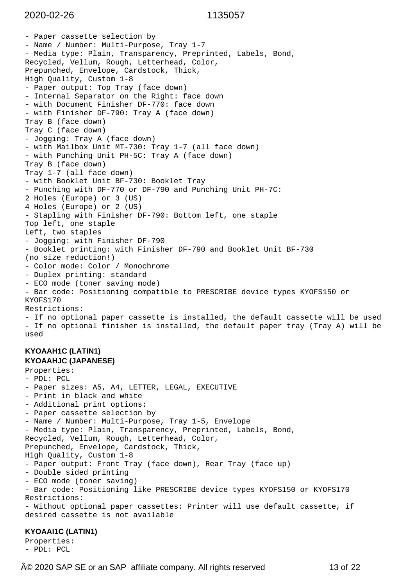```
- Paper cassette selection by
- Name / Number: Multi-Purpose, Tray 1-7
- Media type: Plain, Transparency, Preprinted, Labels, Bond,
Recycled, Vellum, Rough, Letterhead, Color,
Prepunched, Envelope, Cardstock, Thick,
High Quality, Custom 1-8
- Paper output: Top Tray (face down)
- Internal Separator on the Right: face down
- with Document Finisher DF-770: face down
- with Finisher DF-790: Tray A (face down)
Tray B (face down)
Tray C (face down)
- Jogging: Tray A (face down)
- with Mailbox Unit MT-730: Tray 1-7 (all face down)
- with Punching Unit PH-5C: Tray A (face down)
Tray B (face down)
Tray 1-7 (all face down)
- with Booklet Unit BF-730: Booklet Tray
- Punching with DF-770 or DF-790 and Punching Unit PH-7C:
2 Holes (Europe) or 3 (US)
4 Holes (Europe) or 2 (US)
- Stapling with Finisher DF-790: Bottom left, one staple
Top left, one staple
Left, two staples
- Jogging: with Finisher DF-790
- Booklet printing: with Finisher DF-790 and Booklet Unit BF-730
(no size reduction!)
- Color mode: Color / Monochrome
- Duplex printing: standard
- ECO mode (toner saving mode)
- Bar code: Positioning compatible to PRESCRIBE device types KYOFS150 or
KYOFS170
Restrictions:
- If no optional paper cassette is installed, the default cassette will be used
- If no optional finisher is installed, the default paper tray (Tray A) will be
used
KYOAAH1C (LATIN1)
KYOAAHJC (JAPANESE)
Properties:
- PDL: PCL
- Paper sizes: A5, A4, LETTER, LEGAL, EXECUTIVE
- Print in black and white
- Additional print options:
- Paper cassette selection by
- Name / Number: Multi-Purpose, Tray 1-5, Envelope
- Media type: Plain, Transparency, Preprinted, Labels, Bond,
Recycled, Vellum, Rough, Letterhead, Color,
Prepunched, Envelope, Cardstock, Thick,
High Quality, Custom 1-8
- Paper output: Front Tray (face down), Rear Tray (face up)
- Double sided printing
- ECO mode (toner saving)
- Bar code: Positioning like PRESCRIBE device types KYOFS150 or KYOFS170
Restrictions:
- Without optional paper cassettes: Printer will use default cassette, if
desired cassette is not available
KYOAAI1C (LATIN1)
Properties:
```
 $\hat{A}$ © 2020 SAP SE or an SAP affiliate company. All rights reserved

- PDL: PCL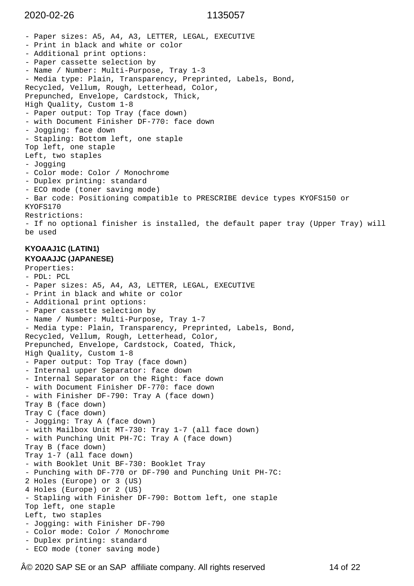- Paper sizes: A5, A4, A3, LETTER, LEGAL, EXECUTIVE - Print in black and white or color - Additional print options: - Paper cassette selection by - Name / Number: Multi-Purpose, Tray 1-3 - Media type: Plain, Transparency, Preprinted, Labels, Bond, Recycled, Vellum, Rough, Letterhead, Color, Prepunched, Envelope, Cardstock, Thick, High Quality, Custom 1-8 - Paper output: Top Tray (face down) - with Document Finisher DF-770: face down - Jogging: face down - Stapling: Bottom left, one staple Top left, one staple Left, two staples - Jogging - Color mode: Color / Monochrome - Duplex printing: standard - ECO mode (toner saving mode) - Bar code: Positioning compatible to PRESCRIBE device types KYOFS150 or KYOFS170 Restrictions: - If no optional finisher is installed, the default paper tray (Upper Tray) will be used **KYOAAJ1C (LATIN1) KYOAAJJC (JAPANESE)** Properties: - PDL: PCL - Paper sizes: A5, A4, A3, LETTER, LEGAL, EXECUTIVE - Print in black and white or color - Additional print options: - Paper cassette selection by - Name / Number: Multi-Purpose, Tray 1-7

```
- Media type: Plain, Transparency, Preprinted, Labels, Bond,
Recycled, Vellum, Rough, Letterhead, Color,
Prepunched, Envelope, Cardstock, Coated, Thick,
High Quality, Custom 1-8
- Paper output: Top Tray (face down)
- Internal upper Separator: face down
- Internal Separator on the Right: face down
- with Document Finisher DF-770: face down
- with Finisher DF-790: Tray A (face down)
Tray B (face down)
Tray C (face down)
- Jogging: Tray A (face down)
- with Mailbox Unit MT-730: Tray 1-7 (all face down)
- with Punching Unit PH-7C: Tray A (face down)
Tray B (face down)
Tray 1-7 (all face down)
- with Booklet Unit BF-730: Booklet Tray
- Punching with DF-770 or DF-790 and Punching Unit PH-7C:
2 Holes (Europe) or 3 (US)
4 Holes (Europe) or 2 (US)
- Stapling with Finisher DF-790: Bottom left, one staple
Top left, one staple
Left, two staples
- Jogging: with Finisher DF-790
- Color mode: Color / Monochrome
- Duplex printing: standard
- ECO mode (toner saving mode)
```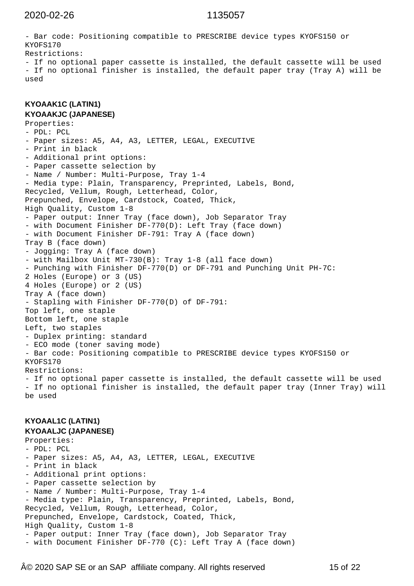- Bar code: Positioning compatible to PRESCRIBE device types KYOFS150 or KYOFS170 Restrictions: - If no optional paper cassette is installed, the default cassette will be used - If no optional finisher is installed, the default paper tray (Tray A) will be used

**KYOAAK1C (LATIN1) KYOAAKJC (JAPANESE)**

Properties: - PDL: PCL - Paper sizes: A5, A4, A3, LETTER, LEGAL, EXECUTIVE - Print in black - Additional print options: - Paper cassette selection by - Name / Number: Multi-Purpose, Tray 1-4 - Media type: Plain, Transparency, Preprinted, Labels, Bond, Recycled, Vellum, Rough, Letterhead, Color, Prepunched, Envelope, Cardstock, Coated, Thick, High Quality, Custom 1-8 - Paper output: Inner Tray (face down), Job Separator Tray - with Document Finisher DF-770(D): Left Tray (face down) - with Document Finisher DF-791: Tray A (face down) Tray B (face down) - Jogging: Tray A (face down) - with Mailbox Unit MT-730(B): Tray 1-8 (all face down) - Punching with Finisher DF-770(D) or DF-791 and Punching Unit PH-7C: 2 Holes (Europe) or 3 (US) 4 Holes (Europe) or 2 (US) Tray A (face down) - Stapling with Finisher DF-770(D) of DF-791: Top left, one staple Bottom left, one staple Left, two staples - Duplex printing: standard - ECO mode (toner saving mode) - Bar code: Positioning compatible to PRESCRIBE device types KYOFS150 or KYOFS170 Restrictions: - If no optional paper cassette is installed, the default cassette will be used - If no optional finisher is installed, the default paper tray (Inner Tray) will be used

### **KYOAAL1C (LATIN1) KYOAALJC (JAPANESE)**

Properties: - PDL: PCL - Paper sizes: A5, A4, A3, LETTER, LEGAL, EXECUTIVE - Print in black - Additional print options: - Paper cassette selection by - Name / Number: Multi-Purpose, Tray 1-4 - Media type: Plain, Transparency, Preprinted, Labels, Bond, Recycled, Vellum, Rough, Letterhead, Color, Prepunched, Envelope, Cardstock, Coated, Thick, High Quality, Custom 1-8 - Paper output: Inner Tray (face down), Job Separator Tray - with Document Finisher DF-770 (C): Left Tray A (face down)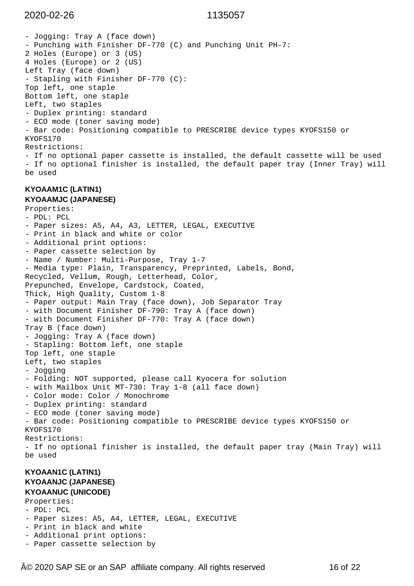- Jogging: Tray A (face down) - Punching with Finisher DF-770 (C) and Punching Unit PH-7: 2 Holes (Europe) or 3 (US) 4 Holes (Europe) or 2 (US) Left Tray (face down) - Stapling with Finisher DF-770 (C): Top left, one staple Bottom left, one staple Left, two staples - Duplex printing: standard - ECO mode (toner saving mode) - Bar code: Positioning compatible to PRESCRIBE device types KYOFS150 or KYOFS170 Restrictions: - If no optional paper cassette is installed, the default cassette will be used - If no optional finisher is installed, the default paper tray (Inner Tray) will be used **KYOAAM1C (LATIN1) KYOAAMJC (JAPANESE)** Properties: - PDL: PCL - Paper sizes: A5, A4, A3, LETTER, LEGAL, EXECUTIVE - Print in black and white or color - Additional print options: - Paper cassette selection by - Name / Number: Multi-Purpose, Tray 1-7 - Media type: Plain, Transparency, Preprinted, Labels, Bond, Recycled, Vellum, Rough, Letterhead, Color, Prepunched, Envelope, Cardstock, Coated, Thick, High Quality, Custom 1-8 - Paper output: Main Tray (face down), Job Separator Tray - with Document Finisher DF-790: Tray A (face down) - with Document Finisher DF-770: Tray A (face down) Tray B (face down) - Jogging: Tray A (face down) - Stapling: Bottom left, one staple Top left, one staple Left, two staples - Jogging - Folding: NOT supported, please call Kyocera for solution - with Mailbox Unit MT-730: Tray 1-8 (all face down) - Color mode: Color / Monochrome - Duplex printing: standard - ECO mode (toner saving mode) - Bar code: Positioning compatible to PRESCRIBE device types KYOFS150 or KYOFS170 Restrictions: - If no optional finisher is installed, the default paper tray (Main Tray) will be used **KYOAAN1C (LATIN1) KYOAANJC (JAPANESE) KYOAANUC (UNICODE)** Properties: - PDL: PCL

- Paper sizes: A5, A4, LETTER, LEGAL, EXECUTIVE
- Print in black and white
- Additional print options:
- Paper cassette selection by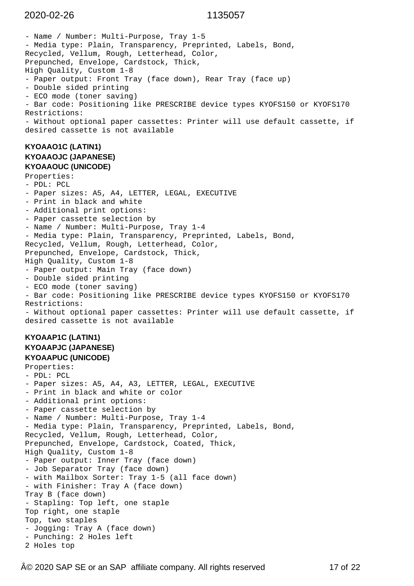- Name / Number: Multi-Purpose, Tray 1-5 - Media type: Plain, Transparency, Preprinted, Labels, Bond, Recycled, Vellum, Rough, Letterhead, Color, Prepunched, Envelope, Cardstock, Thick, High Quality, Custom 1-8 - Paper output: Front Tray (face down), Rear Tray (face up) - Double sided printing - ECO mode (toner saving) - Bar code: Positioning like PRESCRIBE device types KYOFS150 or KYOFS170 Restrictions: - Without optional paper cassettes: Printer will use default cassette, if desired cassette is not available **KYOAAO1C (LATIN1) KYOAAOJC (JAPANESE) KYOAAOUC (UNICODE)** Properties: - PDL: PCL - Paper sizes: A5, A4, LETTER, LEGAL, EXECUTIVE - Print in black and white - Additional print options: - Paper cassette selection by - Name / Number: Multi-Purpose, Tray 1-4 - Media type: Plain, Transparency, Preprinted, Labels, Bond, Recycled, Vellum, Rough, Letterhead, Color, Prepunched, Envelope, Cardstock, Thick, High Quality, Custom 1-8 - Paper output: Main Tray (face down) - Double sided printing - ECO mode (toner saving) - Bar code: Positioning like PRESCRIBE device types KYOFS150 or KYOFS170 Restrictions: - Without optional paper cassettes: Printer will use default cassette, if desired cassette is not available **KYOAAP1C (LATIN1) KYOAAPJC (JAPANESE) KYOAAPUC (UNICODE)** Properties: - PDL: PCL - Paper sizes: A5, A4, A3, LETTER, LEGAL, EXECUTIVE - Print in black and white or color - Additional print options: - Paper cassette selection by - Name / Number: Multi-Purpose, Tray 1-4 - Media type: Plain, Transparency, Preprinted, Labels, Bond, Recycled, Vellum, Rough, Letterhead, Color, Prepunched, Envelope, Cardstock, Coated, Thick, High Quality, Custom 1-8 - Paper output: Inner Tray (face down) - Job Separator Tray (face down) - with Mailbox Sorter: Tray 1-5 (all face down) - with Finisher: Tray A (face down) Tray B (face down) - Stapling: Top left, one staple Top right, one staple Top, two staples - Jogging: Tray A (face down) - Punching: 2 Holes left 2 Holes top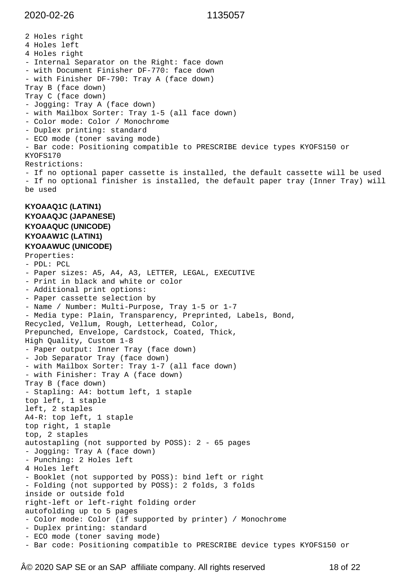2 Holes right 4 Holes left 4 Holes right - Internal Separator on the Right: face down - with Document Finisher DF-770: face down - with Finisher DF-790: Tray A (face down) Tray B (face down) Tray C (face down) - Jogging: Tray A (face down) - with Mailbox Sorter: Tray 1-5 (all face down) - Color mode: Color / Monochrome - Duplex printing: standard - ECO mode (toner saving mode) - Bar code: Positioning compatible to PRESCRIBE device types KYOFS150 or KYOFS170 Restrictions: - If no optional paper cassette is installed, the default cassette will be used - If no optional finisher is installed, the default paper tray (Inner Tray) will be used **KYOAAQ1C (LATIN1) KYOAAQJC (JAPANESE) KYOAAQUC (UNICODE) KYOAAW1C (LATIN1) KYOAAWUC (UNICODE)** Properties: - PDL: PCL - Paper sizes: A5, A4, A3, LETTER, LEGAL, EXECUTIVE - Print in black and white or color - Additional print options: - Paper cassette selection by - Name / Number: Multi-Purpose, Tray 1-5 or 1-7 - Media type: Plain, Transparency, Preprinted, Labels, Bond, Recycled, Vellum, Rough, Letterhead, Color, Prepunched, Envelope, Cardstock, Coated, Thick, High Quality, Custom 1-8 - Paper output: Inner Tray (face down) - Job Separator Tray (face down) - with Mailbox Sorter: Tray 1-7 (all face down) - with Finisher: Tray A (face down) Tray B (face down) - Stapling: A4: bottum left, 1 staple top left, 1 staple left, 2 staples A4-R: top left, 1 staple top right, 1 staple top, 2 staples autostapling (not supported by POSS): 2 - 65 pages - Jogging: Tray A (face down) - Punching: 2 Holes left 4 Holes left - Booklet (not supported by POSS): bind left or right - Folding (not supported by POSS): 2 folds, 3 folds inside or outside fold right-left or left-right folding order autofolding up to 5 pages - Color mode: Color (if supported by printer) / Monochrome - Duplex printing: standard - ECO mode (toner saving mode) - Bar code: Positioning compatible to PRESCRIBE device types KYOFS150 or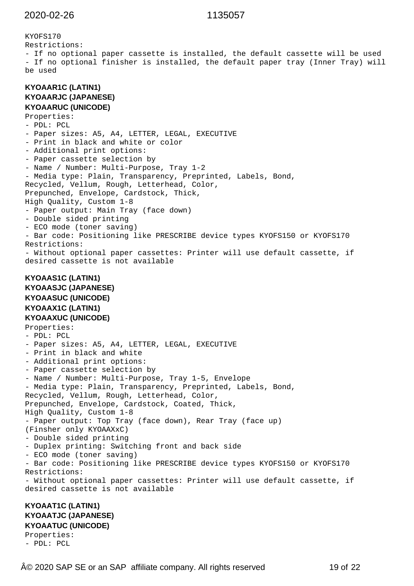```
KYOFS170
Restrictions:
- If no optional paper cassette is installed, the default cassette will be used
- If no optional finisher is installed, the default paper tray (Inner Tray) will
be used
KYOAAR1C (LATIN1)
KYOAARJC (JAPANESE)
KYOAARUC (UNICODE)
Properties:
- PDL: PCL
- Paper sizes: A5, A4, LETTER, LEGAL, EXECUTIVE
- Print in black and white or color
- Additional print options:
- Paper cassette selection by
- Name / Number: Multi-Purpose, Tray 1-2
- Media type: Plain, Transparency, Preprinted, Labels, Bond,
Recycled, Vellum, Rough, Letterhead, Color,
Prepunched, Envelope, Cardstock, Thick,
High Quality, Custom 1-8
- Paper output: Main Tray (face down)
- Double sided printing
- ECO mode (toner saving)
- Bar code: Positioning like PRESCRIBE device types KYOFS150 or KYOFS170
Restrictions:
- Without optional paper cassettes: Printer will use default cassette, if
desired cassette is not available
KYOAAS1C (LATIN1)
KYOAASJC (JAPANESE)
KYOAASUC (UNICODE)
KYOAAX1C (LATIN1)
KYOAAXUC (UNICODE)
Properties:
- PDL: PCL
- Paper sizes: A5, A4, LETTER, LEGAL, EXECUTIVE
- Print in black and white
- Additional print options:
- Paper cassette selection by
- Name / Number: Multi-Purpose, Tray 1-5, Envelope
- Media type: Plain, Transparency, Preprinted, Labels, Bond,
Recycled, Vellum, Rough, Letterhead, Color,
Prepunched, Envelope, Cardstock, Coated, Thick,
High Quality, Custom 1-8
- Paper output: Top Tray (face down), Rear Tray (face up)
(Finsher only KYOAAXxC)
- Double sided printing
- Duplex printing: Switching front and back side
- ECO mode (toner saving)
- Bar code: Positioning like PRESCRIBE device types KYOFS150 or KYOFS170
Restrictions:
- Without optional paper cassettes: Printer will use default cassette, if
desired cassette is not available
KYOAAT1C (LATIN1)
KYOAATJC (JAPANESE)
KYOAATUC (UNICODE)
Properties:
- PDL: PCL
```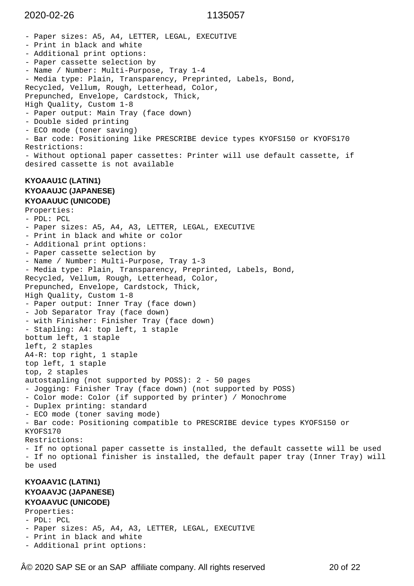- Paper sizes: A5, A4, LETTER, LEGAL, EXECUTIVE - Print in black and white - Additional print options: - Paper cassette selection by - Name / Number: Multi-Purpose, Tray 1-4 - Media type: Plain, Transparency, Preprinted, Labels, Bond, Recycled, Vellum, Rough, Letterhead, Color, Prepunched, Envelope, Cardstock, Thick, High Quality, Custom 1-8 - Paper output: Main Tray (face down) - Double sided printing - ECO mode (toner saving) - Bar code: Positioning like PRESCRIBE device types KYOFS150 or KYOFS170 Restrictions: - Without optional paper cassettes: Printer will use default cassette, if desired cassette is not available **KYOAAU1C (LATIN1) KYOAAUJC (JAPANESE) KYOAAUUC (UNICODE)** Properties: - PDL: PCL - Paper sizes: A5, A4, A3, LETTER, LEGAL, EXECUTIVE - Print in black and white or color - Additional print options: - Paper cassette selection by - Name / Number: Multi-Purpose, Tray 1-3 - Media type: Plain, Transparency, Preprinted, Labels, Bond, Recycled, Vellum, Rough, Letterhead, Color, Prepunched, Envelope, Cardstock, Thick, High Quality, Custom 1-8 - Paper output: Inner Tray (face down) - Job Separator Tray (face down) - with Finisher: Finisher Tray (face down) - Stapling: A4: top left, 1 staple bottum left, 1 staple left, 2 staples A4-R: top right, 1 staple top left, 1 staple top, 2 staples autostapling (not supported by POSS): 2 - 50 pages - Jogging: Finisher Tray (face down) (not supported by POSS) - Color mode: Color (if supported by printer) / Monochrome - Duplex printing: standard - ECO mode (toner saving mode) - Bar code: Positioning compatible to PRESCRIBE device types KYOFS150 or KYOFS170 Restrictions: - If no optional paper cassette is installed, the default cassette will be used - If no optional finisher is installed, the default paper tray (Inner Tray) will be used **KYOAAV1C (LATIN1) KYOAAVJC (JAPANESE) KYOAAVUC (UNICODE)**

Properties: - PDL: PCL - Paper sizes: A5, A4, A3, LETTER, LEGAL, EXECUTIVE

- Print in black and white - Additional print options:
- © 2020 SAP SE or an SAP affiliate company. All rights reserved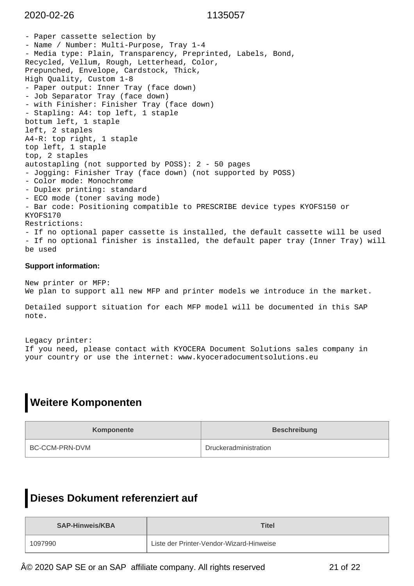- Paper cassette selection by - Name / Number: Multi-Purpose, Tray 1-4 - Media type: Plain, Transparency, Preprinted, Labels, Bond, Recycled, Vellum, Rough, Letterhead, Color, Prepunched, Envelope, Cardstock, Thick, High Quality, Custom 1-8 - Paper output: Inner Tray (face down) - Job Separator Tray (face down) - with Finisher: Finisher Tray (face down) - Stapling: A4: top left, 1 staple bottum left, 1 staple left, 2 staples A4-R: top right, 1 staple top left, 1 staple top, 2 staples autostapling (not supported by POSS): 2 - 50 pages - Jogging: Finisher Tray (face down) (not supported by POSS) - Color mode: Monochrome - Duplex printing: standard - ECO mode (toner saving mode) - Bar code: Positioning compatible to PRESCRIBE device types KYOFS150 or KYOFS170 Restrictions: - If no optional paper cassette is installed, the default cassette will be used - If no optional finisher is installed, the default paper tray (Inner Tray) will be used

### **Support information:**

New printer or MFP: We plan to support all new MFP and printer models we introduce in the market.

Detailed support situation for each MFP model will be documented in this SAP note.

Legacy printer: If you need, please contact with KYOCERA Document Solutions sales company in your country or use the internet: www.kyoceradocumentsolutions.eu

# **Weitere Komponenten**

| Komponente     | <b>Beschreibung</b>   |
|----------------|-----------------------|
| BC-CCM-PRN-DVM | Druckeradministration |

# **Dieses Dokument referenziert auf**

| <b>SAP-Hinweis/KBA</b> | <b>Titel</b>                             |
|------------------------|------------------------------------------|
| 1097990                | Liste der Printer-Vendor-Wizard-Hinweise |